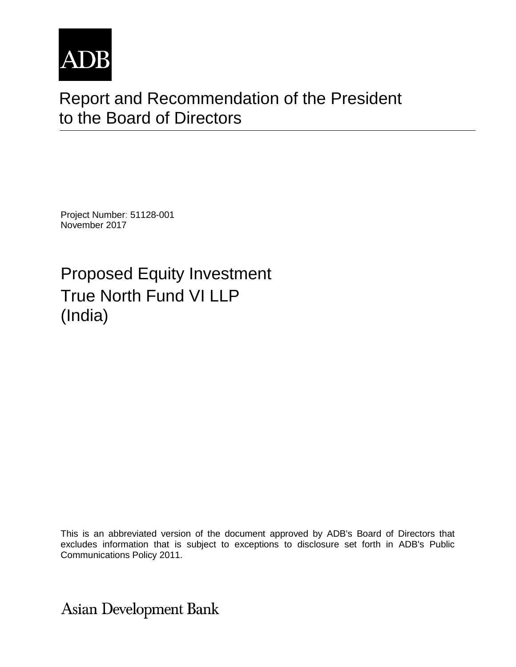

# Report and Recommendation of the President to the Board of Directors

Project Number: 51128-001 November 2017

Proposed Equity Investment True North Fund VI LLP (India)

This is an abbreviated version of the document approved by ADB's Board of Directors that excludes information that is subject to exceptions to disclosure set forth in ADB's Public Communications Policy 2011.

**Asian Development Bank**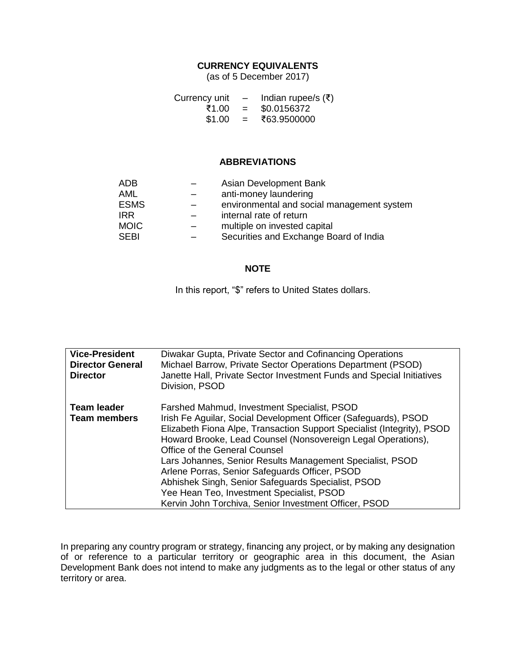#### **CURRENCY EQUIVALENTS**

(as of 5 December 2017)

| Currency unit |     | Indian rupee/s $(\xi)$ |
|---------------|-----|------------------------|
| ₹1.00         | $=$ | \$0.0156372            |
| \$1.00        | $=$ | ₹63.9500000            |

#### **ABBREVIATIONS**

| <b>ADB</b>  | Asian Development Bank                     |
|-------------|--------------------------------------------|
| AML         | anti-money laundering                      |
| <b>ESMS</b> | environmental and social management system |
| IRR.        | internal rate of return                    |
| <b>MOIC</b> | multiple on invested capital               |
| <b>SEBI</b> | Securities and Exchange Board of India     |

#### **NOTE**

In this report, "\$" refers to United States dollars.

| <b>Vice-President</b><br><b>Director General</b><br><b>Director</b> | Diwakar Gupta, Private Sector and Cofinancing Operations<br>Michael Barrow, Private Sector Operations Department (PSOD)<br>Janette Hall, Private Sector Investment Funds and Special Initiatives<br>Division, PSOD                                                                                                                                                                                                                                                                                                                                                   |
|---------------------------------------------------------------------|----------------------------------------------------------------------------------------------------------------------------------------------------------------------------------------------------------------------------------------------------------------------------------------------------------------------------------------------------------------------------------------------------------------------------------------------------------------------------------------------------------------------------------------------------------------------|
| <b>Team leader</b><br><b>Team members</b>                           | Farshed Mahmud, Investment Specialist, PSOD<br>Irish Fe Aguilar, Social Development Officer (Safeguards), PSOD<br>Elizabeth Fiona Alpe, Transaction Support Specialist (Integrity), PSOD<br>Howard Brooke, Lead Counsel (Nonsovereign Legal Operations),<br>Office of the General Counsel<br>Lars Johannes, Senior Results Management Specialist, PSOD<br>Arlene Porras, Senior Safeguards Officer, PSOD<br>Abhishek Singh, Senior Safeguards Specialist, PSOD<br>Yee Hean Teo, Investment Specialist, PSOD<br>Kervin John Torchiva, Senior Investment Officer, PSOD |

In preparing any country program or strategy, financing any project, or by making any designation of or reference to a particular territory or geographic area in this document, the Asian Development Bank does not intend to make any judgments as to the legal or other status of any territory or area.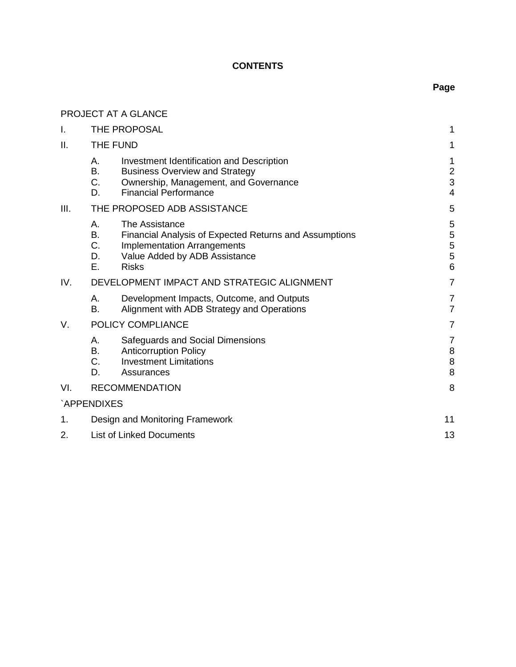# **CONTENTS**

# **Page**

|      |                                 | PROJECT AT A GLANCE                                                                                                                                             |                                         |
|------|---------------------------------|-----------------------------------------------------------------------------------------------------------------------------------------------------------------|-----------------------------------------|
| I.   |                                 | THE PROPOSAL                                                                                                                                                    | 1                                       |
| ΙΙ.  | THE FUND                        |                                                                                                                                                                 | 1                                       |
|      | А.<br>В.<br>C.<br>D.            | Investment Identification and Description<br><b>Business Overview and Strategy</b><br>Ownership, Management, and Governance<br><b>Financial Performance</b>     | 1<br>$\mathbf 2$<br>3<br>$\overline{4}$ |
| III. |                                 | THE PROPOSED ADB ASSISTANCE                                                                                                                                     | 5                                       |
|      | А.<br>В.<br>C.<br>D.<br>Ε.      | The Assistance<br>Financial Analysis of Expected Returns and Assumptions<br><b>Implementation Arrangements</b><br>Value Added by ADB Assistance<br><b>Risks</b> | $\mathbf 5$<br>5<br>5<br>5<br>6         |
| IV.  |                                 | DEVELOPMENT IMPACT AND STRATEGIC ALIGNMENT                                                                                                                      | $\overline{7}$                          |
|      | А.<br>В.                        | Development Impacts, Outcome, and Outputs<br>Alignment with ADB Strategy and Operations                                                                         | $\overline{7}$<br>$\overline{7}$        |
| V.   |                                 | POLICY COMPLIANCE                                                                                                                                               | $\overline{7}$                          |
|      | А.<br>В.<br>C.<br>D.            | Safeguards and Social Dimensions<br><b>Anticorruption Policy</b><br><b>Investment Limitations</b><br>Assurances                                                 | 7<br>$\,8\,$<br>$\bf 8$<br>8            |
| VI.  |                                 | <b>RECOMMENDATION</b>                                                                                                                                           | 8                                       |
|      | `APPENDIXES                     |                                                                                                                                                                 |                                         |
| 1.   |                                 | Design and Monitoring Framework                                                                                                                                 | 11                                      |
| 2.   | <b>List of Linked Documents</b> |                                                                                                                                                                 | 13                                      |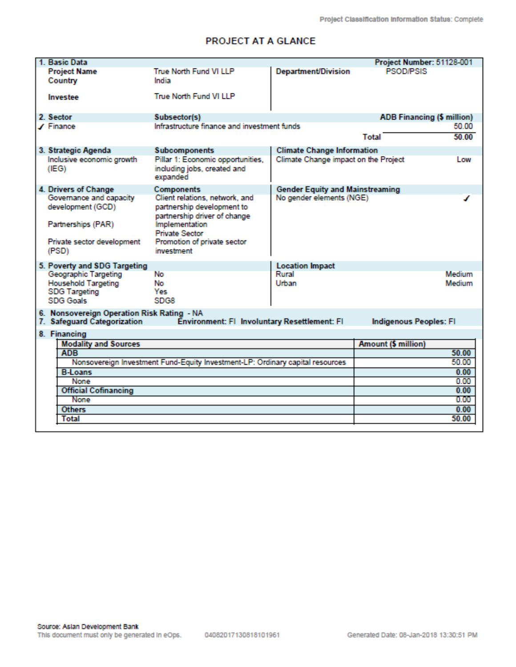# PROJECT AT A GLANCE

| 1. Basic Data                                                                                                                                              |                                                                                              |                                        | Project Number: 51128-001  |              |
|------------------------------------------------------------------------------------------------------------------------------------------------------------|----------------------------------------------------------------------------------------------|----------------------------------------|----------------------------|--------------|
| <b>Project Name</b><br>Country                                                                                                                             | True North Fund VI LLP<br>India                                                              | <b>Department/Division</b>             | <b>PSOD/PSIS</b>           |              |
| Investee                                                                                                                                                   | True North Fund VI LLP                                                                       |                                        |                            |              |
| 2. Sector                                                                                                                                                  | Subsector(s)                                                                                 |                                        | ADB Financing (\$ million) |              |
| ∕ Finance                                                                                                                                                  | Infrastructure finance and investment funds                                                  |                                        |                            | 50.00        |
|                                                                                                                                                            |                                                                                              |                                        | <b>Total</b>               | 50.00        |
| 3. Strategic Agenda                                                                                                                                        | <b>Subcomponents</b>                                                                         | <b>Climate Change Information</b>      |                            |              |
| Inclusive economic growth<br>(IEG)                                                                                                                         | Pillar 1: Economic opportunities,<br>including jobs, created and<br>expanded                 | Climate Change impact on the Project   |                            | Low          |
| 4. Drivers of Change                                                                                                                                       | Components                                                                                   | <b>Gender Equity and Mainstreaming</b> |                            |              |
| Governance and capacity<br>development (GCD)                                                                                                               | Client relations, network, and<br>partnership development to<br>partnership driver of change | No gender elements (NGE)               |                            |              |
| Partnerships (PAR)                                                                                                                                         | <b>Implementation</b><br><b>Private Sector</b>                                               |                                        |                            |              |
| Private sector development<br>(PSD)                                                                                                                        | Promotion of private sector<br>investment                                                    |                                        |                            |              |
| 5. Poverty and SDG Targeting                                                                                                                               |                                                                                              | <b>Location Impact</b>                 |                            |              |
| Geographic Targeting                                                                                                                                       | No                                                                                           | Rural                                  |                            | Medium       |
| <b>Household Targeting</b>                                                                                                                                 | No.                                                                                          | Urban                                  |                            | Medium       |
| <b>SDG Targeting</b><br><b>SDG Goals</b>                                                                                                                   | Yes<br><b>SDG8</b>                                                                           |                                        |                            |              |
|                                                                                                                                                            |                                                                                              |                                        |                            |              |
| 6. Nonsovereign Operation Risk Rating - NA<br>7. Safeguard Categorization<br>Environment: FI Involuntary Resettlement: FI<br><b>Indigenous Peoples: FI</b> |                                                                                              |                                        |                            |              |
| 8. Financing                                                                                                                                               |                                                                                              |                                        |                            |              |
| <b>Modality and Sources</b>                                                                                                                                |                                                                                              |                                        | <b>Amount (\$ million)</b> |              |
| <b>ADB</b>                                                                                                                                                 |                                                                                              |                                        |                            | 50.00        |
|                                                                                                                                                            | Nonsovereign Investment Fund-Equity Investment-LP: Ordinary capital resources                |                                        |                            | 50.00        |
| <b>B-Loans</b>                                                                                                                                             |                                                                                              |                                        |                            | 0.00         |
| None<br><b>Official Cofinancing</b>                                                                                                                        |                                                                                              |                                        |                            | 0.00<br>0.00 |
| None                                                                                                                                                       |                                                                                              |                                        |                            | 0.00         |
| <b>Others</b>                                                                                                                                              |                                                                                              |                                        |                            | 0.00         |
| <b>Total</b>                                                                                                                                               |                                                                                              |                                        |                            | 50.00        |
|                                                                                                                                                            |                                                                                              |                                        |                            |              |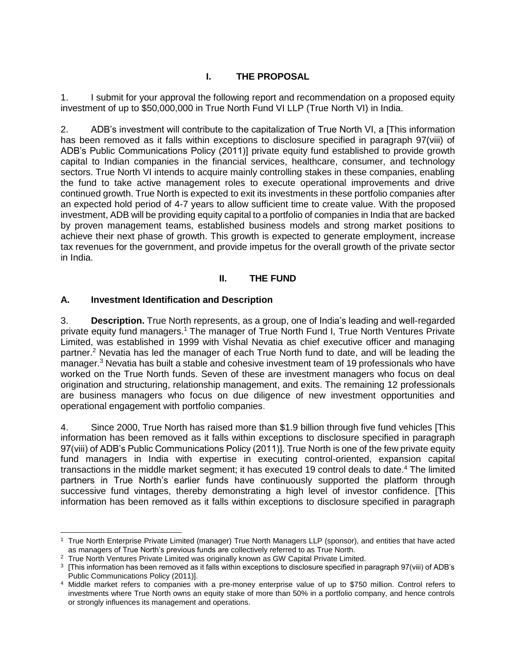# **I. THE PROPOSAL**

<span id="page-6-0"></span>1. I submit for your approval the following report and recommendation on a proposed equity investment of up to \$50,000,000 in True North Fund VI LLP (True North VI) in India.

2. ADB's investment will contribute to the capitalization of True North VI, a [This information has been removed as it falls within exceptions to disclosure specified in paragraph 97(viii) of ADB's Public Communications Policy (2011)] private equity fund established to provide growth capital to Indian companies in the financial services, healthcare, consumer, and technology sectors. True North VI intends to acquire mainly controlling stakes in these companies, enabling the fund to take active management roles to execute operational improvements and drive continued growth. True North is expected to exit its investments in these portfolio companies after an expected hold period of 4-7 years to allow sufficient time to create value. With the proposed investment, ADB will be providing equity capital to a portfolio of companies in India that are backed by proven management teams, established business models and strong market positions to achieve their next phase of growth. This growth is expected to generate employment, increase tax revenues for the government, and provide impetus for the overall growth of the private sector in India.

#### **II. THE FUND**

#### <span id="page-6-2"></span><span id="page-6-1"></span>**A. Investment Identification and Description**

3. **Description.** True North represents, as a group, one of India's leading and well-regarded private equity fund managers.<sup>1</sup> The manager of True North Fund I, True North Ventures Private Limited, was established in 1999 with Vishal Nevatia as chief executive officer and managing partner.<sup>2</sup> Nevatia has led the manager of each True North fund to date, and will be leading the manager.<sup>3</sup> Nevatia has built a stable and cohesive investment team of 19 professionals who have worked on the True North funds. Seven of these are investment managers who focus on deal origination and structuring, relationship management, and exits. The remaining 12 professionals are business managers who focus on due diligence of new investment opportunities and operational engagement with portfolio companies.

4. Since 2000, True North has raised more than \$1.9 billion through five fund vehicles [This information has been removed as it falls within exceptions to disclosure specified in paragraph 97(viii) of ADB's Public Communications Policy (2011)]. True North is one of the few private equity fund managers in India with expertise in executing control-oriented, expansion capital transactions in the middle market segment; it has executed 19 control deals to date.<sup>4</sup> The limited partners in True North's earlier funds have continuously supported the platform through successive fund vintages, thereby demonstrating a high level of investor confidence. [This information has been removed as it falls within exceptions to disclosure specified in paragraph

 <sup>1</sup> True North Enterprise Private Limited (manager) True North Managers LLP (sponsor), and entities that have acted as managers of True North's previous funds are collectively referred to as True North.

<sup>&</sup>lt;sup>2</sup> True North Ventures Private Limited was originally known as GW Capital Private Limited.

<sup>3</sup> [This information has been removed as it falls within exceptions to disclosure specified in paragraph 97(viii) of ADB's Public Communications Policy (2011)].

<sup>4</sup> Middle market refers to companies with a pre-money enterprise value of up to \$750 million. Control refers to investments where True North owns an equity stake of more than 50% in a portfolio company, and hence controls or strongly influences its management and operations.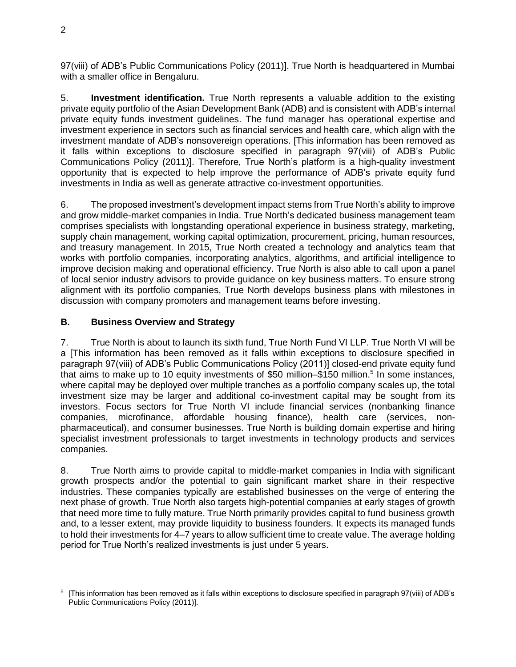97(viii) of ADB's Public Communications Policy (2011)]. True North is headquartered in Mumbai with a smaller office in Bengaluru.

5. **Investment identification.** True North represents a valuable addition to the existing private equity portfolio of the Asian Development Bank (ADB) and is consistent with ADB's internal private equity funds investment guidelines. The fund manager has operational expertise and investment experience in sectors such as financial services and health care, which align with the investment mandate of ADB's nonsovereign operations. [This information has been removed as it falls within exceptions to disclosure specified in paragraph 97(viii) of ADB's Public Communications Policy (2011)]. Therefore, True North's platform is a high-quality investment opportunity that is expected to help improve the performance of ADB's private equity fund investments in India as well as generate attractive co-investment opportunities.

6. The proposed investment's development impact stems from True North's ability to improve and grow middle-market companies in India. True North's dedicated business management team comprises specialists with longstanding operational experience in business strategy, marketing, supply chain management, working capital optimization, procurement, pricing, human resources, and treasury management. In 2015, True North created a technology and analytics team that works with portfolio companies, incorporating analytics, algorithms, and artificial intelligence to improve decision making and operational efficiency. True North is also able to call upon a panel of local senior industry advisors to provide guidance on key business matters. To ensure strong alignment with its portfolio companies, True North develops business plans with milestones in discussion with company promoters and management teams before investing.

# <span id="page-7-0"></span>**B. Business Overview and Strategy**

7. True North is about to launch its sixth fund, True North Fund VI LLP. True North VI will be a [This information has been removed as it falls within exceptions to disclosure specified in paragraph 97(viii) of ADB's Public Communications Policy (2011)] closed-end private equity fund that aims to make up to 10 equity investments of \$50 million–\$150 million.<sup>5</sup> In some instances, where capital may be deployed over multiple tranches as a portfolio company scales up, the total investment size may be larger and additional co-investment capital may be sought from its investors. Focus sectors for True North VI include financial services (nonbanking finance companies, microfinance, affordable housing finance), health care (services, nonpharmaceutical), and consumer businesses. True North is building domain expertise and hiring specialist investment professionals to target investments in technology products and services companies.

8. True North aims to provide capital to middle-market companies in India with significant growth prospects and/or the potential to gain significant market share in their respective industries. These companies typically are established businesses on the verge of entering the next phase of growth. True North also targets high-potential companies at early stages of growth that need more time to fully mature. True North primarily provides capital to fund business growth and, to a lesser extent, may provide liquidity to business founders. It expects its managed funds to hold their investments for 4–7 years to allow sufficient time to create value. The average holding period for True North's realized investments is just under 5 years.

 $\overline{a}$ <sup>5</sup> [This information has been removed as it falls within exceptions to disclosure specified in paragraph 97(viii) of ADB's Public Communications Policy (2011)].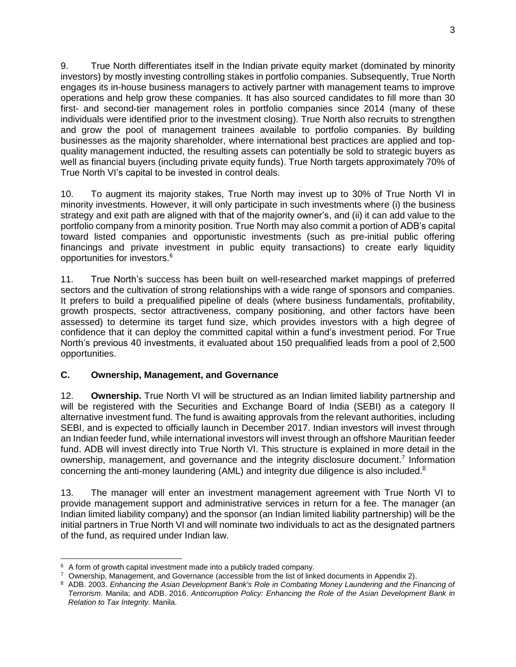9. True North differentiates itself in the Indian private equity market (dominated by minority investors) by mostly investing controlling stakes in portfolio companies. Subsequently, True North engages its in-house business managers to actively partner with management teams to improve operations and help grow these companies. It has also sourced candidates to fill more than 30 first- and second-tier management roles in portfolio companies since 2014 (many of these individuals were identified prior to the investment closing). True North also recruits to strengthen and grow the pool of management trainees available to portfolio companies. By building businesses as the majority shareholder, where international best practices are applied and topquality management inducted, the resulting assets can potentially be sold to strategic buyers as well as financial buyers (including private equity funds). True North targets approximately 70% of True North VI's capital to be invested in control deals.

10. To augment its majority stakes, True North may invest up to 30% of True North VI in minority investments. However, it will only participate in such investments where (i) the business strategy and exit path are aligned with that of the majority owner's, and (ii) it can add value to the portfolio company from a minority position. True North may also commit a portion of ADB's capital toward listed companies and opportunistic investments (such as pre-initial public offering financings and private investment in public equity transactions) to create early liquidity opportunities for investors.<sup>6</sup>

11. True North's success has been built on well-researched market mappings of preferred sectors and the cultivation of strong relationships with a wide range of sponsors and companies. It prefers to build a prequalified pipeline of deals (where business fundamentals, profitability, growth prospects, sector attractiveness, company positioning, and other factors have been assessed) to determine its target fund size, which provides investors with a high degree of confidence that it can deploy the committed capital within a fund's investment period. For True North's previous 40 investments, it evaluated about 150 prequalified leads from a pool of 2,500 opportunities.

# <span id="page-8-0"></span>**C. Ownership, Management, and Governance**

12. **Ownership.** True North VI will be structured as an Indian limited liability partnership and will be registered with the Securities and Exchange Board of India (SEBI) as a category II alternative investment fund. The fund is awaiting approvals from the relevant authorities, including SEBI, and is expected to officially launch in December 2017. Indian investors will invest through an Indian feeder fund, while international investors will invest through an offshore Mauritian feeder fund. ADB will invest directly into True North VI. This structure is explained in more detail in the ownership, management, and governance and the integrity disclosure document.<sup>7</sup> Information concerning the anti-money laundering (AML) and integrity due diligence is also included.<sup>8</sup>

13. The manager will enter an investment management agreement with True North VI to provide management support and administrative services in return for a fee. The manager (an Indian limited liability company) and the sponsor (an Indian limited liability partnership) will be the initial partners in True North VI and will nominate two individuals to act as the designated partners of the fund, as required under Indian law.

  $6$  A form of growth capital investment made into a publicly traded company.

 $7$  Ownership, Management, and Governance (accessible from the list of linked documents in Appendix 2).

<sup>8</sup> ADB. 2003. *Enhancing the Asian Development Bank's Role in Combating Money Laundering and the Financing of Terrorism*. Manila; and ADB. 2016. *Anticorruption Policy: Enhancing the Role of the Asian Development Bank in Relation to Tax Integrity.* Manila.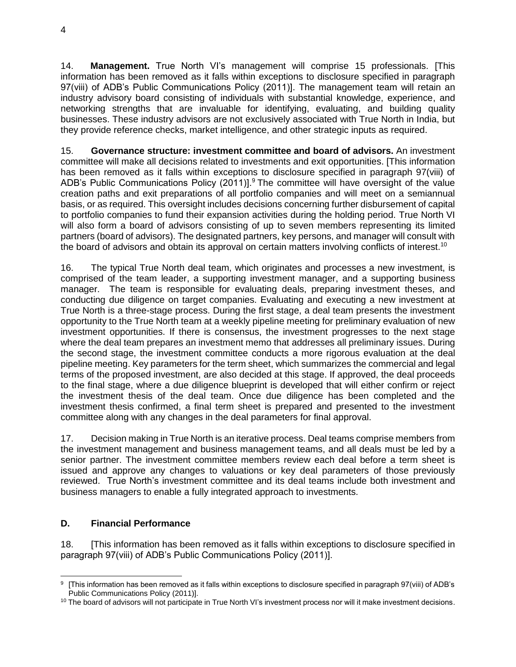14. **Management.** True North VI's management will comprise 15 professionals. [This information has been removed as it falls within exceptions to disclosure specified in paragraph 97(viii) of ADB's Public Communications Policy (2011)]. The management team will retain an industry advisory board consisting of individuals with substantial knowledge, experience, and networking strengths that are invaluable for identifying, evaluating, and building quality businesses. These industry advisors are not exclusively associated with True North in India, but they provide reference checks, market intelligence, and other strategic inputs as required.

15. **Governance structure: investment committee and board of advisors.** An investment committee will make all decisions related to investments and exit opportunities. [This information has been removed as it falls within exceptions to disclosure specified in paragraph 97(viii) of ADB's Public Communications Policy  $(2011)$ ].<sup>9</sup> The committee will have oversight of the value creation paths and exit preparations of all portfolio companies and will meet on a semiannual basis, or as required. This oversight includes decisions concerning further disbursement of capital to portfolio companies to fund their expansion activities during the holding period. True North VI will also form a board of advisors consisting of up to seven members representing its limited partners (board of advisors). The designated partners, key persons, and manager will consult with the board of advisors and obtain its approval on certain matters involving conflicts of interest.<sup>10</sup>

16. The typical True North deal team, which originates and processes a new investment, is comprised of the team leader, a supporting investment manager, and a supporting business manager. The team is responsible for evaluating deals, preparing investment theses, and conducting due diligence on target companies. Evaluating and executing a new investment at True North is a three-stage process. During the first stage, a deal team presents the investment opportunity to the True North team at a weekly pipeline meeting for preliminary evaluation of new investment opportunities. If there is consensus, the investment progresses to the next stage where the deal team prepares an investment memo that addresses all preliminary issues. During the second stage, the investment committee conducts a more rigorous evaluation at the deal pipeline meeting. Key parameters for the term sheet, which summarizes the commercial and legal terms of the proposed investment, are also decided at this stage. If approved, the deal proceeds to the final stage, where a due diligence blueprint is developed that will either confirm or reject the investment thesis of the deal team. Once due diligence has been completed and the investment thesis confirmed, a final term sheet is prepared and presented to the investment committee along with any changes in the deal parameters for final approval.

17. Decision making in True North is an iterative process. Deal teams comprise members from the investment management and business management teams, and all deals must be led by a senior partner. The investment committee members review each deal before a term sheet is issued and approve any changes to valuations or key deal parameters of those previously reviewed. True North's investment committee and its deal teams include both investment and business managers to enable a fully integrated approach to investments.

# <span id="page-9-0"></span>**D. Financial Performance**

18. [This information has been removed as it falls within exceptions to disclosure specified in paragraph 97(viii) of ADB's Public Communications Policy (2011)].

 9 [This information has been removed as it falls within exceptions to disclosure specified in paragraph 97(viii) of ADB's Public Communications Policy (2011)].

 $10$  The board of advisors will not participate in True North VI's investment process nor will it make investment decisions.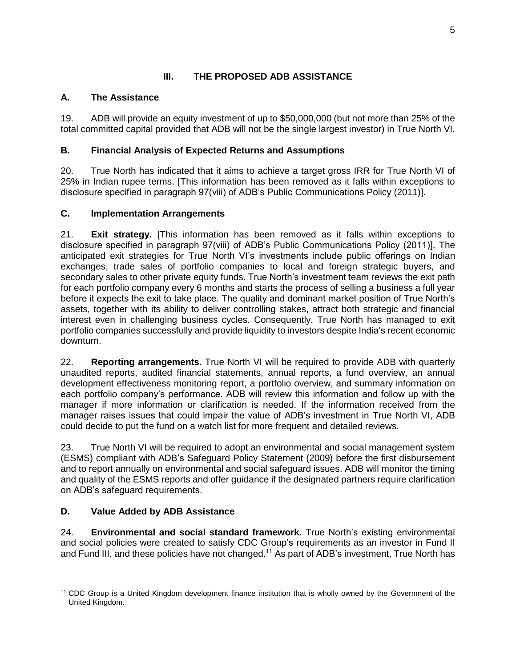# **III. THE PROPOSED ADB ASSISTANCE**

# <span id="page-10-1"></span><span id="page-10-0"></span>**A. The Assistance**

19. ADB will provide an equity investment of up to \$50,000,000 (but not more than 25% of the total committed capital provided that ADB will not be the single largest investor) in True North VI.

# <span id="page-10-2"></span>**B. Financial Analysis of Expected Returns and Assumptions**

20. True North has indicated that it aims to achieve a target gross IRR for True North VI of 25% in Indian rupee terms. [This information has been removed as it falls within exceptions to disclosure specified in paragraph 97(viii) of ADB's Public Communications Policy (2011)].

# <span id="page-10-3"></span>**C. Implementation Arrangements**

21. **Exit strategy.** [This information has been removed as it falls within exceptions to disclosure specified in paragraph 97(viii) of ADB's Public Communications Policy (2011)]. The anticipated exit strategies for True North VI's investments include public offerings on Indian exchanges, trade sales of portfolio companies to local and foreign strategic buyers, and secondary sales to other private equity funds. True North's investment team reviews the exit path for each portfolio company every 6 months and starts the process of selling a business a full year before it expects the exit to take place. The quality and dominant market position of True North's assets, together with its ability to deliver controlling stakes, attract both strategic and financial interest even in challenging business cycles. Consequently, True North has managed to exit portfolio companies successfully and provide liquidity to investors despite India's recent economic downturn.

22. **Reporting arrangements.** True North VI will be required to provide ADB with quarterly unaudited reports, audited financial statements, annual reports, a fund overview, an annual development effectiveness monitoring report, a portfolio overview, and summary information on each portfolio company's performance. ADB will review this information and follow up with the manager if more information or clarification is needed. If the information received from the manager raises issues that could impair the value of ADB's investment in True North VI, ADB could decide to put the fund on a watch list for more frequent and detailed reviews.

23. True North VI will be required to adopt an environmental and social management system (ESMS) compliant with ADB's Safeguard Policy Statement (2009) before the first disbursement and to report annually on environmental and social safeguard issues. ADB will monitor the timing and quality of the ESMS reports and offer guidance if the designated partners require clarification on ADB's safeguard requirements.

# <span id="page-10-4"></span>**D. Value Added by ADB Assistance**

24. **Environmental and social standard framework.** True North's existing environmental and social policies were created to satisfy CDC Group's requirements as an investor in Fund II and Fund III, and these policies have not changed.<sup>11</sup> As part of ADB's investment, True North has

 $\overline{a}$ <sup>11</sup> CDC Group is a United Kingdom development finance institution that is wholly owned by the Government of the United Kingdom.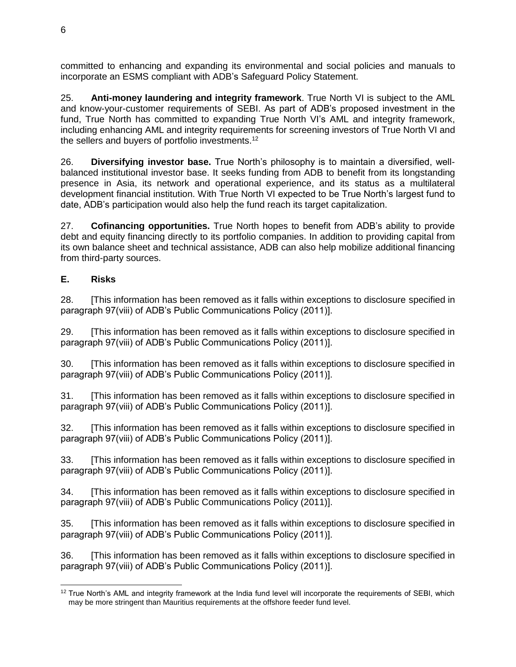committed to enhancing and expanding its environmental and social policies and manuals to incorporate an ESMS compliant with ADB's Safeguard Policy Statement.

25. **Anti-money laundering and integrity framework**. True North VI is subject to the AML and know-your-customer requirements of SEBI. As part of ADB's proposed investment in the fund, True North has committed to expanding True North VI's AML and integrity framework, including enhancing AML and integrity requirements for screening investors of True North VI and the sellers and buyers of portfolio investments.<sup>12</sup>

26. **Diversifying investor base.** True North's philosophy is to maintain a diversified, wellbalanced institutional investor base. It seeks funding from ADB to benefit from its longstanding presence in Asia, its network and operational experience, and its status as a multilateral development financial institution. With True North VI expected to be True North's largest fund to date, ADB's participation would also help the fund reach its target capitalization.

27. **Cofinancing opportunities.** True North hopes to benefit from ADB's ability to provide debt and equity financing directly to its portfolio companies. In addition to providing capital from its own balance sheet and technical assistance, ADB can also help mobilize additional financing from third-party sources.

# <span id="page-11-0"></span>**E. Risks**

28. [This information has been removed as it falls within exceptions to disclosure specified in paragraph 97(viii) of ADB's Public Communications Policy (2011)].

29. [This information has been removed as it falls within exceptions to disclosure specified in paragraph 97(viii) of ADB's Public Communications Policy (2011)].

30. [This information has been removed as it falls within exceptions to disclosure specified in paragraph 97(viii) of ADB's Public Communications Policy (2011)].

31. [This information has been removed as it falls within exceptions to disclosure specified in paragraph 97(viii) of ADB's Public Communications Policy (2011)].

32. [This information has been removed as it falls within exceptions to disclosure specified in paragraph 97(viii) of ADB's Public Communications Policy (2011)].

33. [This information has been removed as it falls within exceptions to disclosure specified in paragraph 97(viii) of ADB's Public Communications Policy (2011)].

34. [This information has been removed as it falls within exceptions to disclosure specified in paragraph 97(viii) of ADB's Public Communications Policy (2011)].

35. [This information has been removed as it falls within exceptions to disclosure specified in paragraph 97(viii) of ADB's Public Communications Policy (2011)].

36. [This information has been removed as it falls within exceptions to disclosure specified in paragraph 97(viii) of ADB's Public Communications Policy (2011)].

 $\overline{a}$  $12$  True North's AML and integrity framework at the India fund level will incorporate the requirements of SEBI, which may be more stringent than Mauritius requirements at the offshore feeder fund level.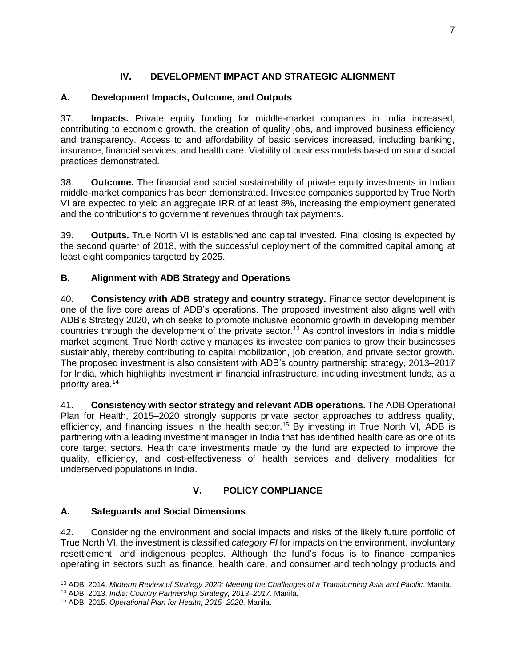# **IV. DEVELOPMENT IMPACT AND STRATEGIC ALIGNMENT**

# <span id="page-12-1"></span><span id="page-12-0"></span>**A. Development Impacts, Outcome, and Outputs**

37. **Impacts.** Private equity funding for middle-market companies in India increased, contributing to economic growth, the creation of quality jobs, and improved business efficiency and transparency. Access to and affordability of basic services increased, including banking, insurance, financial services, and health care. Viability of business models based on sound social practices demonstrated.

38. **Outcome.** The financial and social sustainability of private equity investments in Indian middle-market companies has been demonstrated. Investee companies supported by True North VI are expected to yield an aggregate IRR of at least 8%, increasing the employment generated and the contributions to government revenues through tax payments.

39. **Outputs.** True North VI is established and capital invested. Final closing is expected by the second quarter of 2018, with the successful deployment of the committed capital among at least eight companies targeted by 2025.

# <span id="page-12-2"></span>**B. Alignment with ADB Strategy and Operations**

40. **Consistency with ADB strategy and country strategy.** Finance sector development is one of the five core areas of ADB's operations. The proposed investment also aligns well with ADB's Strategy 2020, which seeks to promote inclusive economic growth in developing member countries through the development of the private sector.<sup>13</sup> As control investors in India's middle market segment, True North actively manages its investee companies to grow their businesses sustainably, thereby contributing to capital mobilization, job creation, and private sector growth. The proposed investment is also consistent with ADB's country partnership strategy, 2013–2017 for India, which highlights investment in financial infrastructure, including investment funds, as a priority area.<sup>14</sup>

41. **Consistency with sector strategy and relevant ADB operations.** The ADB Operational Plan for Health, 2015–2020 strongly supports private sector approaches to address quality, efficiency, and financing issues in the health sector.<sup>15</sup> By investing in True North VI, ADB is partnering with a leading investment manager in India that has identified health care as one of its core target sectors. Health care investments made by the fund are expected to improve the quality, efficiency, and cost-effectiveness of health services and delivery modalities for underserved populations in India.

# **V. POLICY COMPLIANCE**

# <span id="page-12-4"></span><span id="page-12-3"></span>**A. Safeguards and Social Dimensions**

42. Considering the environment and social impacts and risks of the likely future portfolio of True North VI, the investment is classified *category FI* for impacts on the environment, involuntary resettlement, and indigenous peoples. Although the fund's focus is to finance companies operating in sectors such as finance, health care, and consumer and technology products and

 <sup>13</sup> ADB. 2014. *Midterm Review of Strategy 2020: Meeting the Challenges of a Transforming Asia and Pacific*. Manila.

<sup>14</sup> ADB. 2013. *India: Country Partnership Strategy, 2013–2017*. Manila.

<sup>15</sup> ADB. 2015. *Operational Plan for Health, 2015–2020*. Manila.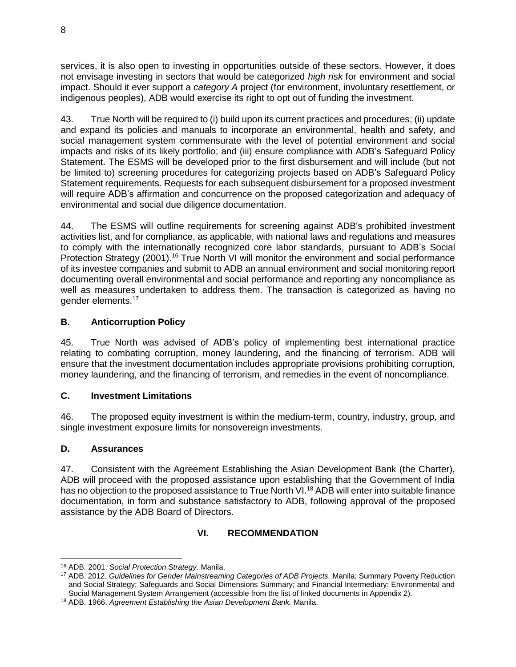services, it is also open to investing in opportunities outside of these sectors. However, it does not envisage investing in sectors that would be categorized *high risk* for environment and social impact. Should it ever support a *category A* project (for environment, involuntary resettlement, or indigenous peoples), ADB would exercise its right to opt out of funding the investment.

43. True North will be required to (i) build upon its current practices and procedures; (ii) update and expand its policies and manuals to incorporate an environmental, health and safety, and social management system commensurate with the level of potential environment and social impacts and risks of its likely portfolio; and (iii) ensure compliance with ADB's Safeguard Policy Statement. The ESMS will be developed prior to the first disbursement and will include (but not be limited to) screening procedures for categorizing projects based on ADB's Safeguard Policy Statement requirements. Requests for each subsequent disbursement for a proposed investment will require ADB's affirmation and concurrence on the proposed categorization and adequacy of environmental and social due diligence documentation.

44. The ESMS will outline requirements for screening against ADB's prohibited investment activities list, and for compliance, as applicable, with national laws and regulations and measures to comply with the internationally recognized core labor standards, pursuant to ADB's Social Protection Strategy (2001).<sup>16</sup> True North VI will monitor the environment and social performance of its investee companies and submit to ADB an annual environment and social monitoring report documenting overall environmental and social performance and reporting any noncompliance as well as measures undertaken to address them. The transaction is categorized as having no gender elements.<sup>17</sup>

# <span id="page-13-0"></span>**B. Anticorruption Policy**

45. True North was advised of ADB's policy of implementing best international practice relating to combating corruption, money laundering, and the financing of terrorism. ADB will ensure that the investment documentation includes appropriate provisions prohibiting corruption, money laundering, and the financing of terrorism, and remedies in the event of noncompliance.

# <span id="page-13-1"></span>**C. Investment Limitations**

46. The proposed equity investment is within the medium-term, country, industry, group, and single investment exposure limits for nonsovereign investments.

# <span id="page-13-2"></span>**D. Assurances**

47. Consistent with the Agreement Establishing the Asian Development Bank (the Charter), ADB will proceed with the proposed assistance upon establishing that the Government of India has no objection to the proposed assistance to True North VI.<sup>18</sup> ADB will enter into suitable finance documentation, in form and substance satisfactory to ADB, following approval of the proposed assistance by the ADB Board of Directors.

# **VI. RECOMMENDATION**

<span id="page-13-3"></span> <sup>16</sup> ADB. 2001. *Social Protection Strategy.* Manila.

<sup>17</sup> ADB. 2012. *Guidelines for Gender Mainstreaming Categories of ADB Projects.* Manila; Summary Poverty Reduction and Social Strategy; Safeguards and Social Dimensions Summary; and Financial Intermediary: Environmental and Social Management System Arrangement (accessible from the list of linked documents in Appendix 2).

<sup>18</sup> ADB. 1966. *Agreement Establishing the Asian Development Bank.* Manila.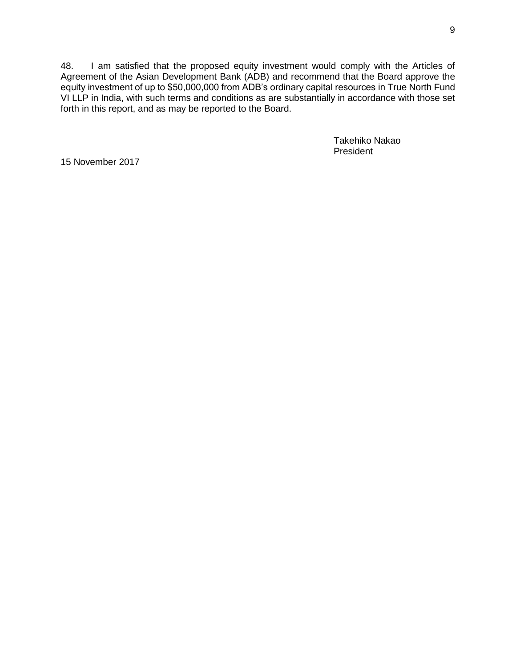48. I am satisfied that the proposed equity investment would comply with the Articles of Agreement of the Asian Development Bank (ADB) and recommend that the Board approve the equity investment of up to \$50,000,000 from ADB's ordinary capital resources in True North Fund VI LLP in India, with such terms and conditions as are substantially in accordance with those set forth in this report, and as may be reported to the Board.

> Takehiko Nakao President

15 November 2017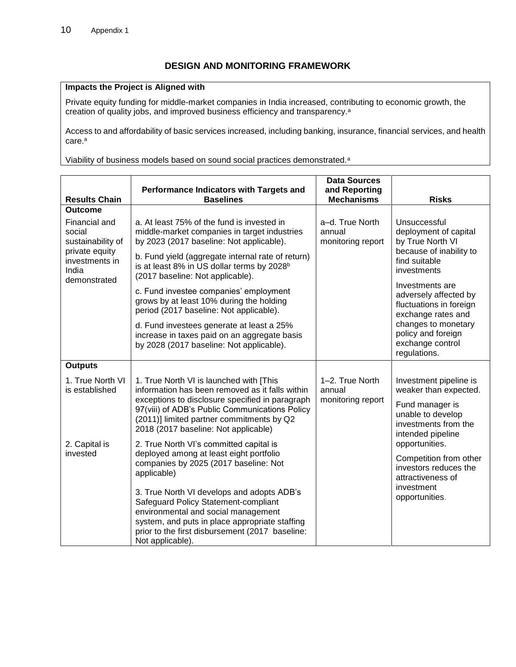# **DESIGN AND MONITORING FRAMEWORK**

#### **Impacts the Project is Aligned with**

Private equity funding for middle-market companies in India increased, contributing to economic growth, the creation of quality jobs, and improved business efficiency and transparency. a

Access to and affordability of basic services increased, including banking, insurance, financial services, and health care.<sup>a</sup>

Viability of business models based on sound social practices demonstrated.<sup>a</sup>

| <b>Results Chain</b>                                                                                      | Performance Indicators with Targets and<br><b>Baselines</b>                                                                                                                                                                                                                          | <b>Data Sources</b><br>and Reporting<br><b>Mechanisms</b> | <b>Risks</b>                                                                                                                                                               |  |
|-----------------------------------------------------------------------------------------------------------|--------------------------------------------------------------------------------------------------------------------------------------------------------------------------------------------------------------------------------------------------------------------------------------|-----------------------------------------------------------|----------------------------------------------------------------------------------------------------------------------------------------------------------------------------|--|
| <b>Outcome</b>                                                                                            |                                                                                                                                                                                                                                                                                      |                                                           |                                                                                                                                                                            |  |
| Financial and<br>social<br>sustainability of<br>private equity<br>investments in<br>India<br>demonstrated | a. At least 75% of the fund is invested in<br>middle-market companies in target industries<br>by 2023 (2017 baseline: Not applicable).<br>b. Fund yield (aggregate internal rate of return)                                                                                          | a-d. True North<br>annual<br>monitoring report            | Unsuccessful<br>deployment of capital<br>by True North VI<br>because of inability to<br>find suitable                                                                      |  |
|                                                                                                           | is at least 8% in US dollar terms by 2028 <sup>b</sup><br>(2017 baseline: Not applicable).                                                                                                                                                                                           |                                                           | investments                                                                                                                                                                |  |
|                                                                                                           | c. Fund investee companies' employment<br>grows by at least 10% during the holding<br>period (2017 baseline: Not applicable).                                                                                                                                                        |                                                           | Investments are<br>adversely affected by<br>fluctuations in foreign<br>exchange rates and<br>changes to monetary<br>policy and foreign<br>exchange control<br>regulations. |  |
|                                                                                                           | d. Fund investees generate at least a 25%<br>increase in taxes paid on an aggregate basis<br>by 2028 (2017 baseline: Not applicable).                                                                                                                                                |                                                           |                                                                                                                                                                            |  |
| <b>Outputs</b>                                                                                            |                                                                                                                                                                                                                                                                                      |                                                           |                                                                                                                                                                            |  |
| 1. True North VI<br>is established                                                                        | 1. True North VI is launched with [This<br>information has been removed as it falls within<br>exceptions to disclosure specified in paragraph<br>97(viii) of ADB's Public Communications Policy<br>(2011)] limited partner commitments by Q2<br>2018 (2017 baseline: Not applicable) | 1-2. True North<br>annual<br>monitoring report            | Investment pipeline is<br>weaker than expected.<br>Fund manager is<br>unable to develop<br>investments from the<br>intended pipeline                                       |  |
| 2. Capital is<br>invested                                                                                 | 2. True North VI's committed capital is<br>deployed among at least eight portfolio<br>companies by 2025 (2017 baseline: Not<br>applicable)                                                                                                                                           |                                                           | opportunities.<br>Competition from other<br>investors reduces the<br>attractiveness of<br>investment<br>opportunities.                                                     |  |
|                                                                                                           | 3. True North VI develops and adopts ADB's<br>Safeguard Policy Statement-compliant<br>environmental and social management<br>system, and puts in place appropriate staffing<br>prior to the first disbursement (2017 baseline:<br>Not applicable).                                   |                                                           |                                                                                                                                                                            |  |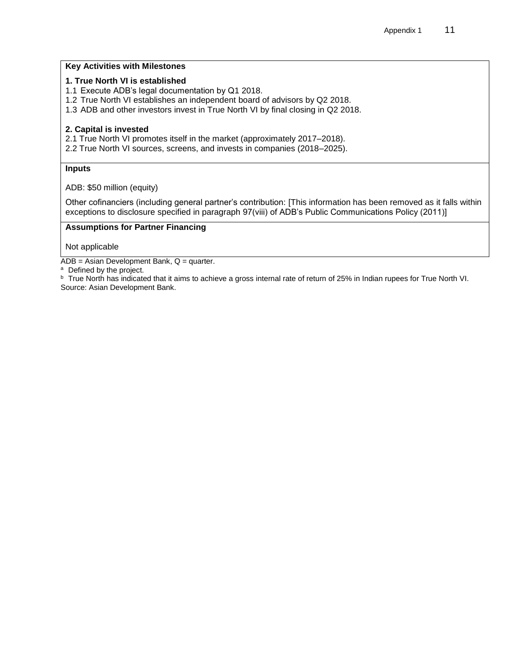#### **Key Activities with Milestones**

#### **1. True North VI is established**

- 1.1 Execute ADB's legal documentation by Q1 2018.
- 1.2 True North VI establishes an independent board of advisors by Q2 2018.
- 1.3 ADB and other investors invest in True North VI by final closing in Q2 2018.

#### **2. Capital is invested**

- 2.1 True North VI promotes itself in the market (approximately 2017–2018).
- 2.2 True North VI sources, screens, and invests in companies (2018–2025).

#### **Inputs**

ADB: \$50 million (equity)

Other cofinanciers (including general partner's contribution: [This information has been removed as it falls within exceptions to disclosure specified in paragraph 97(viii) of ADB's Public Communications Policy (2011)]

#### **Assumptions for Partner Financing**

Not applicable

 $\overline{ADB}$  = Asian Development Bank,  $Q$  = quarter.

<sup>a</sup> Defined by the project.

b True North has indicated that it aims to achieve a gross internal rate of return of 25% in Indian rupees for True North VI. Source: Asian Development Bank.